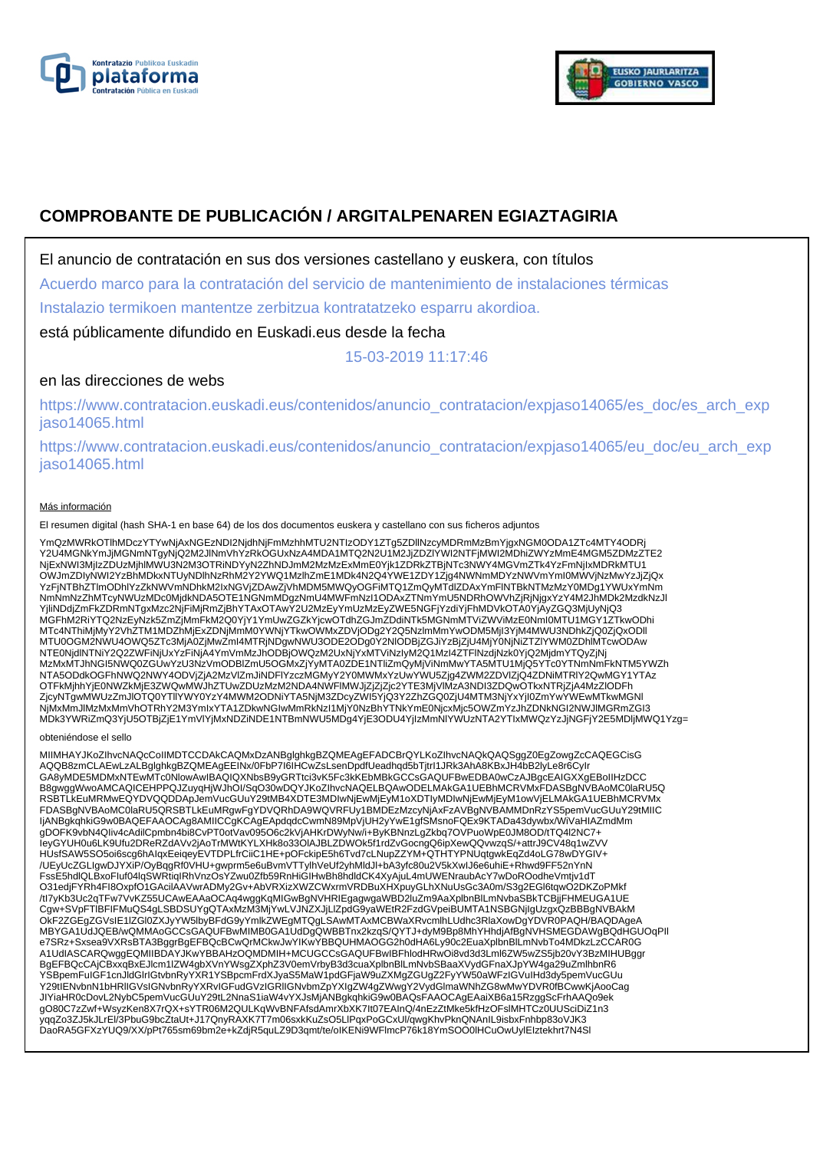



# **COMPROBANTE DE PUBLICACIÓN / ARGITALPENAREN EGIAZTAGIRIA**

El anuncio de contratación en sus dos versiones castellano y euskera, con títulos

Acuerdo marco para la contratación del servicio de mantenimiento de instalaciones térmicas

Instalazio termikoen mantentze zerbitzua kontratatzeko esparru akordioa.

está públicamente difundido en Euskadi.eus desde la fecha

15-03-2019 11:17:46

## en las direcciones de webs

https://www.contratacion.euskadi.eus/contenidos/anuncio\_contratacion/expjaso14065/es\_doc/es\_arch\_exp jaso14065.html

https://www.contratacion.euskadi.eus/contenidos/anuncio\_contratacion/expjaso14065/eu\_doc/eu\_arch\_exp jaso14065.html

#### Más información

El resumen digital (hash SHA-1 en base 64) de los dos documentos euskera y castellano con sus ficheros adjuntos

YmQzMWRkOTlhMDczYTYwNjAxNGEzNDI2NjdhNjFmMzhhMTU2NTIzODY1ZTg5ZDllNzcyMDRmMzBmYjgxNGM0ODA1ZTc4MTY4ODRj<br>Y2U4MGNkYmJjMGNmNTgyNjQ2M2JlNmVhYzRkOGUxNzA4MDA1MTQ2N2U1M2JjZDZlYWI2NTFjMWI2MDhiZWYzMmE4MGM5ZDMzZTE2 NjExNWI3MjIzZDUzMjhlMWU3N2M3OTRiNDYyN2ZhNDJmM2MzMzExMmE0Yjk1ZDRkZTBjNTc3NWY4MGVmZTk4YzFmNjIxMDRkMTU1<br>OWJmZDIyNWI2YzBhMDkxNTUyNDlhNzRhM2Y2YWQ1MzlhZmE1MDk4N2Q4YWE1ZDY1Zjg4NWNmMDYzNWVmYmI0MWVjNzMwYzJjZjQx YzFjNTBhZTlmODhlYzZkNWVmNDhkM2IxNGVjZDAwZjVhMDM5MWQyOGFiMTQ1ZmQyMTdlZDAxYmFlNTBkNTMzMzY0MDg1YWUxYmNm NmNmNzZhMTcyNWUzMDc0MjdkNDA5OTE1NGNmMDgzNmU4MWFmNzI1ODAxZTNmYmU5NDRhOWVhZjRjNjgxYzY4M2JhMDk2MzdkNzJl YjliNDdjZmFkZDRmNTgxMzc2NjFiMjRmZjBhYTAxOTAwY2U2MzEyYmUzMzEyZWE5NGFjYzdiYjFhMDVkOTA0YjAyZGQ3MjUyNjQ3 MGFhM2RiYTQ2NzEyNzk5ZmZjMmFkM2Q0YjY1YmUwZGZkYjcwOTdhZGJmZDdiNTk5MGNmMTViZWViMzE0NmI0MTU1MGY1ZTkwODhi MTc4NThiMjMyY2VhZTM1MDZhMjExZDNjMmM0YWNjYTkwOWMxZDVjODg2Y2Q5NzlmMmYwODM5MjI3YjM4MWU3NDhkZjQ0ZjQxODII<br>MTU0OGM2NWU4OWQ5ZTc3MjA0ZjMwZmI4MTRjNDgwNWU3ODE2ODg0Y2NIODBjZGJiYzBjZjU4MjY0NjNiZTZIYWM0ZDhIMTcwODAw<br>NTE0NjdINTNiY2Q2ZWFi MzMxMTJhNGI5NWQ0ZGUwYzU3NzVmODBlZmU5OGMxZjYyMTA0ZDE1NTliZmQyMjViNmMwYTA5MTU1MjQ5YTc0YTNmNmFkNTM5YWZh NTA5ODdkOGFhNWQ2NWY4ODVjZjA2MzVlZmJiNDFlYzczMGMyY2Y0MWMxYzUwYWU5Zjg4ZWM2ZDVlZjQ4ZDNiMTRIY2QwMGY1YTAz<br>OTFkMjhhYjE0NWZkMjE3ZWQwMWJhZTUwZDUzMzM2NDA4NWFlMWJjZjZjcjc2YTE3MjVlMzA3NDI3ZDQwOTkxNTRjZjA4MzZlODFh ZjcyNTgwMWUzZmJlOTQ0YTllYWY0YzY4MWM2ODNiYTA5NjM3ZDcyZWI5YjQ3Y2ZhZGQ0ZjU4MTM3NjYxYjI0ZmYwYWEwMTkwMGNl NjMxMmJlMzMxMmVhOTRhY2M3YmIxYTA1ZDkwNGIwMmRkNzI1MjY0NzBhYTNkYmE0NjcxMjc5OWZmYzJhZDNkNGI2NWJlMGRmZGI3 MDk3YWRiZmQ3YjU5OTBjZjE1YmVlYjMxNDZiNDE1NTBmNWU5MDg4YjE3ODU4YjIzMmNlYWUzNTA2YTIxMWQzYzJjNGFjY2E5MDljMWQ1Yzg=

#### obteniéndose el sello

MIIMHAYJKoZIhvcNAQcCoIIMDTCCDAkCAQMxDzANBglghkgBZQMEAgEFADCBrQYLKoZIhvcNAQkQAQSggZ0EgZowgZcCAQEGCisG AQQB8zmCLAEwLzALBglghkgBZQMEAgEEINx/0FbP7I6IHCwZsLsenDpdfUeadhqd5bTjtrI1JRk3AhA8KBxJH4bB2lyLe8r6CyIr GA8yMDE5MDMxNTEwMTc0NlowAwIBAQIQXNbsB9yGRTtci3vK5Fc3kKEbMBkGCCsGAQUFBwEDBA0wCzAJBgcEAIGXXgEBoIIHzDCC B8gwggWwoAMCAQICEHPPQJZuyqHjWJhOI/SqO30wDQYJKoZIhvcNAQELBQAwODELMAkGA1UEBhMCRVMxFDASBgNVBAoMC0laRU5Q RSBTLkEuMRMwEQYDVQQDDApJemVucGUuY29tMB4XDTE3MDIwNjEwMjEyM1oXDTIyMDIwNjEwMjEyM1owVjELMAkGA1UEBhMCRVMx<br>FDASBgNVBAoMC0laRU5QRSBTLkEuMRgwFgYDVQRhDA9WQVRFUy1BMDEzMzcyNjAxFzAVBgNVBAMMDnRzYS5pemVucGUuY29tMIIC IjANBgkqhkiG9w0BAQEFAAOCAg8AMIICCqKCAqEApdqdcCwmN89MpVjUH2yYwE1gfSMsnoFQEx9KTADa43dywbx/WiVaHIAZmdMm gDOFK9vbN4QIiv4cAdilCpmbn4bi8CvPT0otVav095O6c2kVjAHKrDWyNw/i+ByKBNnzLgZkbq7OVPuoWpE0JM8OD/tTQ4l2NC7+ IeyGYUH0u6LK9Ufu2DReRZdAVv2jAoTrMWtKYLXHk8o33OlAJBLZDWOk5f1rdZvGocngQ6ipXewQQvwzqS/+attrJ9CV48q1wZVV HUsfSAW5SO5oi6scg6hAIqxEeiqeyEVTDPLfrCiiC1HE+pOFckipE5h6Tvd7cLNupZZYM+QTHTYPNUqtgwkEqZd4oLG78wDYGIV+ /UEyUcZGLIgwDJYXiP/OyBqgRf0VHU+gwprm5e6uBvmVTTylhVeUf2yhMldJl+bA3yfc80u2V5kXwIJ6e6uhiE+Rhwd9FF52nYnN<br>FssE5hdlQLBxoFluf04lqSWRtiqIRhVnzOsYZwu0Zfb59RnHiGIHwBh8hdldCK4XyAjuL4mUWENraubAcY7wDoROodheVmtjv1dT O31edjFYRh4FI8OxpfO1GAcilAAVwrADMy2Gv+AbVRXizXWZCWxrmVRDBuXHXpuyGLhXNuUsGc3A0m/S3g2EGl6tqwO2DKZoPMkf<br>/tl7yKb3Uc2qTFw7VvKZ55UCAwEAAaOCAq4wggKqMlGwBgNVHRIEgagwgaWBD2luZm9AaXplbnBlLmNvbaSBkTCBjjFHMEUGA1UE Cgw+SVpFTIBFIFMuQS4gLSBDSUYgQTAxMzM3MjYwLVJNZXJjLlZpdG9yaWEtR2FzdGVpeiBUMTA1NSBGNjIgUzgxQzBBBgNVBAkM<br>OkF2ZGEgZGVsIE1IZGl0ZXJyYW5lbyBFdG9yYmlkZWEgMTQgLSAwMTAxMCBWaXRvcmlhLUdhc3RlaXowDgYDVR0PAQH/BAQDAgeA MBYGA1UdJQEB/wQMMAoGCCsGAQUFBwMIMB0GA1UdDgQWBBTnx2kzqS/QYTJ+dyM9Bp8MhYHhdjAfBgNVHSMEGDAWgBQdHGUOqPIl e7SRz+Sxsea9VXRsBTA3BggrBgEFBQcBCwQrMCkwJwYIKwYBBQUHMAOGG2h0dHA6Ly90c2EuaXplbnBlLmNvbTo4MDkzLzCCAR0G A1UdIASCARQwggEQMIIBDAYJKwYBBAHzOQMDMIH+MCUGCCsGAQUFBwIBFhlodHRwOi8vd3d3Lml6ZW5wZS5jb20vY3BzMIHUBggr BgEFBQcCAjCBxxqBxEJlcm1lZW4gbXVnYWsgZXphZ3V0emVrbyB3d3cuaXplbnBlLmNvbSBaaXVydGFnaXJpYW4ga29uZmlhbnR6 YSBpemFuIGF1cnJldGlrIGtvbnRyYXR1YSBpcmFrdXJyaS5MaW1pdGFjaW9uZXMgZGUgZ2FyYW50aWFzIGVuIHd3dy5pemVucGUu<br>Y29tIENvbnN1bHRIIGVsIGNvbnRyYXRvIGFudGVzIGRIIGNvbmZpYXIgZW4gZWwgY2VydGlmaWNhZG8wMwYDVR0fBCwwKjAooCag JIYiaHR0cDovL2NybC5pemVucGUuY29tL2NnaS1iaW4vYXJsMjANBgkqhkiG9w0BAQsFAAOCAgEAaiXB6a15RzggScFrhAAQo9ek gO80C7zZwf+WsyzKen8X7rQX+sYTR06M2QULKqWvBNFAfsdAmrXbXK7It07EAInQ/4nEzZtMke5kfHzOFslMHTCz0UUSciDiZ1n3 yqqZo3ZJ5kJLrEl/3PbuG9bcZtaUt+J17QnyRAXK7T7m06sxkKuZsO5LlPqxPoGCxUl/qwgKhvPknQNAnIL9isbxFnhbp83oVJK3<br>DaoRA5GFXzYUQ9/XX/pPt765sm69bm2e+kZdjR5quLZ9D3qmt/te/oIKENi9WFlmcP76k18YmSOO0lHCuOwUylEIztekhrt7N4Sl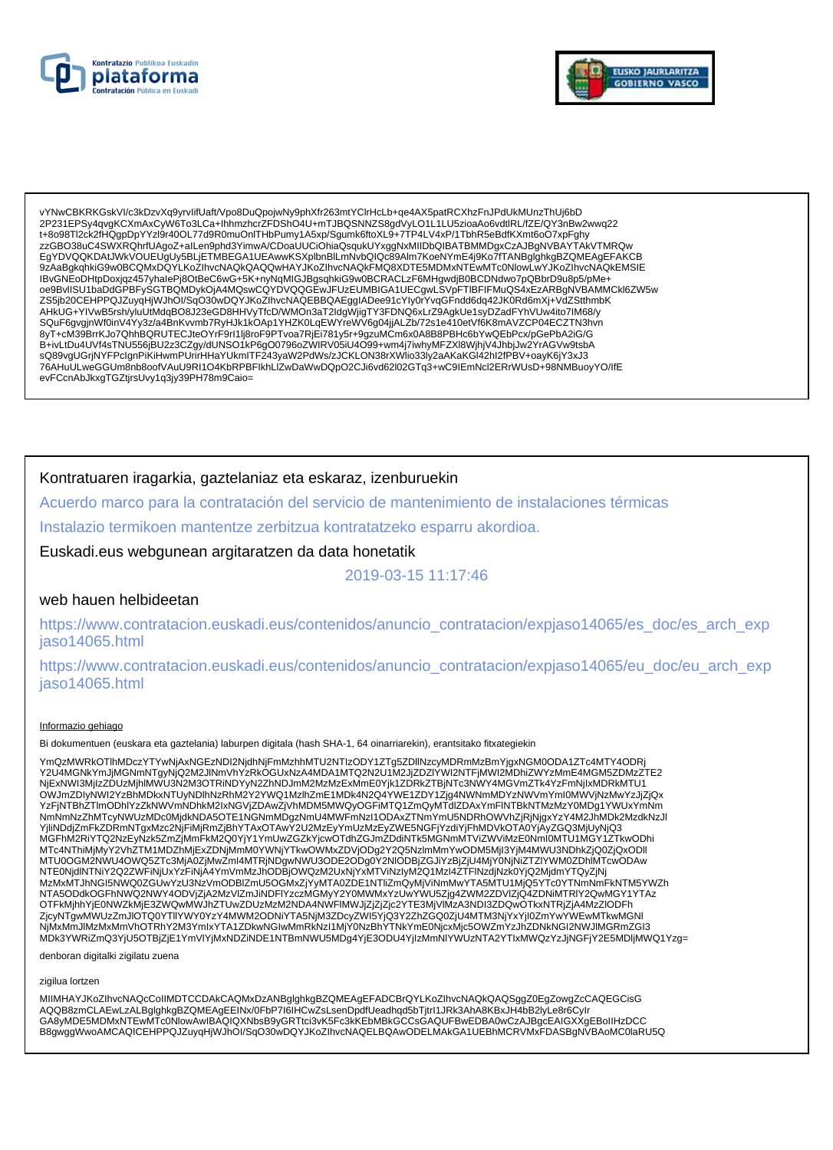



vYNwCBKRKGskVI/c3kDzvXq9yrvIifUaft/Vpo8DuQpojwNy9phXfr263mtYCIrHcLb+qe4AX5patRCXhzFnJPdUkMUnzThUj6bD<br>2P231EPSy4qvgKCXmAxCyW6To3LCa+IhhmzhcrZFDShO4U+mTJBQSNNZS8gdVyLO1L1LU5zioaAo6vdtlRL/fZE/QY3nBw2wwq22 t+8o98Tl2ck2fHQgpDpYYzI9r40OL77d9R0muOnITHbPumy1A5xp/Sgumk6ftoXL9+7TP4LV4xP/1TbhR5eBdfKXmt6oO7xpFghy zzGBO38uC4SWXRQhrfUAgoZ+alLen9phd3YimwA/CDoaUUCiOhiaQsqukUYxggNxMIIDbQIBATBMMDgxCzAJBgNVBAYTAkVTMRQw EgYDVQQKDAtJWkVOUEUgUy5BLjETMBEGA1UEAwwKSXplbnBlLmNvbQlQc89Alm7KoeNYmE4j9Ko7fTANBglghkgBZQMEAgEFAKCB 9zAaBgkqhkiG9w0BCQMxDQYLKoZIhvcNAQkQAQQwHAYJKoZIhvcNAQkFMQ8XDTE5MDMxNTEwMTc0NlowLwYJKoZIhvcNAQkEMSIE IBVGNEoDHtpDoxjqz457yhalePj8OtBeC6wG+5K+nyNqMIGJBgsqhkiG9w0BCRACLzF6MHgwdjB0BCDNdwo7pQBbrD9u8p5/pMe+<br>oe9BvlISU1baDdGPBFySGTBQMDykOjA4MQswCQYDVQQGEwJFUzEUMBIGA1UECgwLSVpFTIBFIFMuQS4xEzARBgNVBAMMCkl6ZW5w SQuF6gvgjnWf0inV4Yy3z/a4BnKvvmb7RyHJk1kOAp1YHZK0LqEWYreWV6g04jjALZb/72s1e410etVf6K8mAVZCP04ECZTN3hvn 8yT+cM39BrrKJo7QhhBQRUTECJteOYrF9rl1lj8roF9PTvoa7RjEi781y5r+9gzuMCm6x0A8B8PBHc6bYwQEbPcx/pGePbA2iG/G B+ivLtDu4UVf4sTNU556jBU2z3CZgy/dUNSO1kP6gO0796oZWIRV05iU4O99+wm4j7iwhyMFZXl8WjhjV4JhbjJw2YrAGVw9tsbA sQ89vgUGrjNYFPcIgnPiKiHwmPUrirHHaYUkmITF243yaW2PdWs/zJCKLON38rXWlio33ly2aAKaKGl42hI2fPBV+oayK6jY3xJ3 76AHuULweGGUm8nb8oofVAuU9RI1O4KbRPBFIkhLiZwDaWwDQpO2CJi6vd62l02GTq3+wC9IEmNcl2ERrWUsD+98NMBuoyYO/IfE evFCcnAbJkxgTGZtjrsUvy1q3jy39PH78m9Caio=

## Kontratuaren iragarkia, gaztelaniaz eta eskaraz, izenburuekin

Acuerdo marco para la contratación del servicio de mantenimiento de instalaciones térmicas

Instalazio termikoen mantentze zerbitzua kontratatzeko esparru akordioa.

Euskadi.eus webgunean argitaratzen da data honetatik

2019-03-15 11:17:46

### web hauen helbideetan

https://www.contratacion.euskadi.eus/contenidos/anuncio\_contratacion/expjaso14065/es\_doc/es\_arch\_exp jaso14065.html

https://www.contratacion.euskadi.eus/contenidos/anuncio\_contratacion/expjaso14065/eu\_doc/eu\_arch\_exp iaso14065.html

#### Informazio gehiago

Bi dokumentuen (euskara eta gaztelania) laburpen digitala (hash SHA-1, 64 oinarriarekin), erantsitako fitxategiekin

YmQzMWRkOTlhMDczYTYwNjAxNGEzNDI2NjdhNjFmMzhhMTU2NTIzODY1ZTg5ZDllNzcyMDRmMzBmYjgxNGM0ODA1ZTc4MTY4ODRj NmNmNzZhMTcyNWUzMDc0MjdkNDA5OTE1NGNmMDgzNmU4MWFmNzI1ODAxZTNmYmU5NDRhOWVhZjRjNjgxYzY4M2JhMDk2MzdkNzJl YjliNDdjZmFkZDRmNTgxMzc2NjFiMjRmZjBhYTAxOTAwY2U2MzEyYmUzMzEyZWE5NGFjYzdiYjFhMDVkOTA0YjAyZGQ3MjUyNjQ3 MGFhM2RIYTQ2NzEyNzk5ZmZjMmFkM2Q0YjY1YmUwZGZkYjcwOTdhZGJmZDdiNTk5MGNmMTViZWViMzE0NmI0MTU1MGY1ZTkwODhi MTc4NThiMjMyY2VhZTM1MDZhMjExZDNjMmM0YWNjYTkwOWMxZDVjODg2Y2Q5NzlmMmYwODM5MjI3YjM4MWU3NDhkZjQ0ZjQxODll MTU0OGM2NWU4OWQ5ZTc3MjA0ZjMwZmI4MTRjNDgwNWU3ODE2ODg0Y2NIODBjZGJiYzBjZjU4MjY0NjNiZTZIYWM0ZDhlMTcwODAw<br>NTE0NjdINTNiY2Q2ZWFiNjUxYzFiNjA4YmVmMzJhODBjOWQzM2UxNjYxMTViNzIyM2Q1MzI4ZTFINzdjNzk0YjQ2MjdmYTQyZjNj www.com/www.com/www.com/www.com/www.com/www.com/www.com/www.com/www.com/www.com/www.com/www.com/www.com/www.com/<br>N2MxMTJhNGI5NWQ0ZGUwYzU3NzVmODBIZmU5OGMxZjYyMTA0ZDE1NTliZmQyMjViNmMwYTA5MTU1MjQ5YTc0YTNmNmFkNTM5YWZh<br>NTA5ODd OTFKMihhYjE0NWZkMjE3ZWQwMWJhZTUwZDUzMzM2NDA4NWFIMWJjZjZjcjc2YTE3MjVIMzA3NDI3ZDQwOTkxNTRjZjA4MzZIODFh ZjcyNTgwMWUzZmJIOTQ0YTIIYWY0YzY4MWM2ODNIYTA5NjM3ZDcyZWI5YjQ3Y2ZhZGQ0ZjU4MTM3NjYxYjI0ZmYwYWEwMTkwMGNI NjMxMmJlMzMxMmVhOTRhY2M3YmlxYTA1ZDkwNGlwMmRkNzl1MjY0NzBhYTNkYmE0NjcxMjc5OWZmYzJhZDNkNGl2NWJlMGRmZGl3 MDk3YWRiZmQ3YjU5OTBjZjE1YmVlYjMxNDZiNDE1NTBmNWU5MDg4YjE3ODU4YjIzMmNlYWUzNTA2YTIxMWQzYzJjNGFjY2E5MDljMWQ1Yzg=

denboran digitalki zigilatu zuena

zigilua lortzen

MIIMHAYJKoZIhvcNAQcCoIIMDTCCDAkCAQMxDzANBglghkgBZQMEAgEFADCBrQYLKoZIhvcNAQkQAQSggZ0EgZowgZcCAQEGCisG AQQB8zmCLAEwLzALBglghkgBZQMEAgEEINx/0FbP7i6iHCwZsLsenDpdfUeadhqd5bTjtrl1JRk3AhA8KBxJH4bB2lyLe8roCyIr<br>GA8yMDE5MDMxNTEwMTc0NlowAwIBAQIQXNbsB9yGRTtci3vK5Fc3kKEbMBkGCCsGAQUFBwEDBA0wCzAJBgcEAIGXXgEBoIIHzDCC B8qwqqWwoAMCAQICEHPPQJZuvqHiWJhOI/SqO30wDQYJKoZIhvcNAQELBQAwODELMAkGA1UEBhMCRVMxFDASBqNVBAoMC0laRU5Q